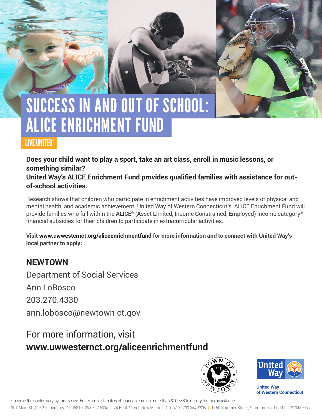# SUCCESS IN AND OUT OF SCHOOL: ALICE ENRICHMENT FUND

### LIVE UNITED®

**Does your child want to play a sport, take an art class, enroll in music lessons, or something similar?** 

**United Way's ALICE Enrichment Fund provides qualified families with assistance for outof-school activities.** 

Research shows that children who participate in enrichment activities have improved levels of physical and mental health, and academic achievement. United Way of Western Connecticut's ALICE Enrichment Fund will provide families who fall within the **ALICE®** (**A**sset **L**imited, **I**ncome **C**onstrained, **E**mployed) income category\* financial subsidies for their children to participate in extracurricular activities.

**Visit www.uwwesternct.org/aliceenrichmentfund for more information and to connect with United Way's local partner to apply:**

### **NEWTOWN**

Department of Social Services Ann LoBosco 203.270.4330 ann.lobosco@newtown-ct.gov

## For more information, visit **www.uwwesternct.org/aliceenrichmentfund**





**United Way of Western Connecticut** 

\*Income thresholds vary by family size. For example, families of four can earn no more than \$70,788 to qualify for this assistance.

301 Main St., Ste 2-5, Danbury, CT 06810 *203.792.5330* | 24 Bank Street, New Milford, CT 06776 *203.354.8800* | 1150 Summer Street, Stamford, CT 06901 *203.348.7711*